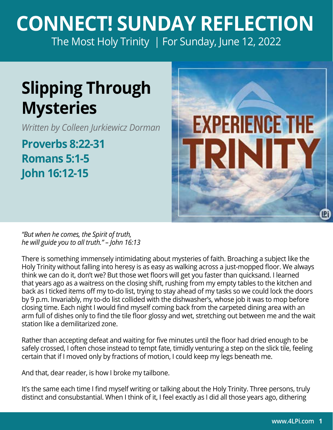## **CONNECT! SUNDAY REFLECTION** [The Most Holy Trinity | For Sunday, June 12, 2022](https://bible.usccb.org/bible/readings/061222.cfm)

## **Slipping Through Mysteries**

*Written by Colleen Jurkiewicz Dorman* 

**Proverbs 8:22-31 Romans 5:1-5 John 16:12-15**



*"But when he comes, the Spirit of truth, he will guide you to all truth." – John 16:13* 

There is something immensely intimidating about mysteries of faith. Broaching a subject like the Holy Trinity without falling into heresy is as easy as walking across a just-mopped floor. We always think we can do it, don't we? But those wet floors will get you faster than quicksand. I learned that years ago as a waitress on the closing shift, rushing from my empty tables to the kitchen and back as I ticked items off my to-do list, trying to stay ahead of my tasks so we could lock the doors by 9 p.m. Invariably, my to-do list collided with the dishwasher's, whose job it was to mop before closing time. Each night I would find myself coming back from the carpeted dining area with an arm full of dishes only to find the tile floor glossy and wet, stretching out between me and the wait station like a demilitarized zone.

Rather than accepting defeat and waiting for five minutes until the floor had dried enough to be safely crossed, I often chose instead to tempt fate, timidly venturing a step on the slick tile, feeling certain that if I moved only by fractions of motion, I could keep my legs beneath me.

And that, dear reader, is how I broke my tailbone.

It's the same each time I find myself writing or talking about the Holy Trinity. Three persons, truly distinct and consubstantial. When I think of it, I feel exactly as I did all those years ago, dithering